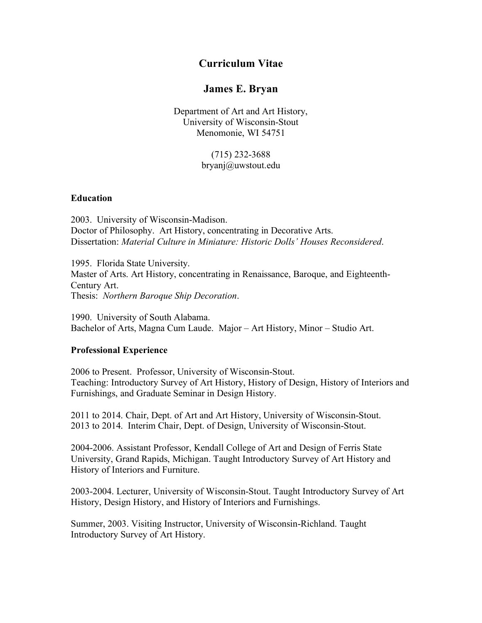## **Curriculum Vitae**

## **James E. Bryan**

Department of Art and Art History, University of Wisconsin-Stout Menomonie, WI 54751

## (715) 232-3688 bryanj@uwstout.edu

#### **Education**

2003. University of Wisconsin-Madison. Doctor of Philosophy. Art History, concentrating in Decorative Arts. Dissertation: *Material Culture in Miniature: Historic Dolls' Houses Reconsidered*.

1995. Florida State University. Master of Arts. Art History, concentrating in Renaissance, Baroque, and Eighteenth-Century Art. Thesis: *Northern Baroque Ship Decoration*.

1990. University of South Alabama. Bachelor of Arts, Magna Cum Laude. Major – Art History, Minor – Studio Art.

#### **Professional Experience**

2006 to Present. Professor, University of Wisconsin-Stout. Teaching: Introductory Survey of Art History, History of Design, History of Interiors and Furnishings, and Graduate Seminar in Design History.

2011 to 2014. Chair, Dept. of Art and Art History, University of Wisconsin-Stout. 2013 to 2014. Interim Chair, Dept. of Design, University of Wisconsin-Stout.

2004-2006. Assistant Professor, Kendall College of Art and Design of Ferris State University, Grand Rapids, Michigan. Taught Introductory Survey of Art History and History of Interiors and Furniture.

2003-2004. Lecturer, University of Wisconsin-Stout. Taught Introductory Survey of Art History, Design History, and History of Interiors and Furnishings.

Summer, 2003. Visiting Instructor, University of Wisconsin-Richland. Taught Introductory Survey of Art History.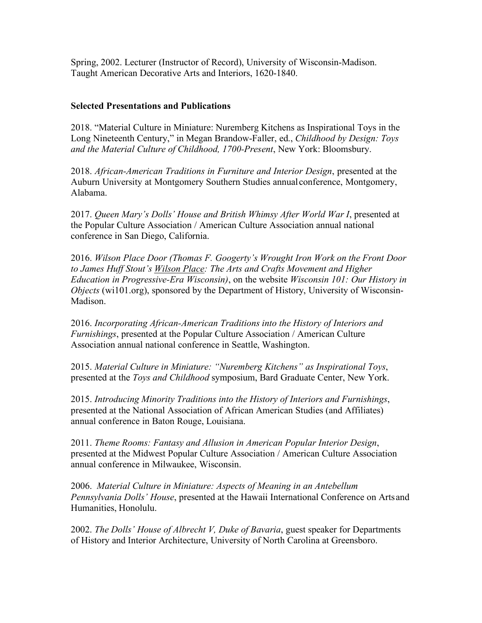Spring, 2002. Lecturer (Instructor of Record), University of Wisconsin-Madison. Taught American Decorative Arts and Interiors, 1620-1840.

### **Selected Presentations and Publications**

2018. "Material Culture in Miniature: Nuremberg Kitchens as Inspirational Toys in the Long Nineteenth Century," in Megan Brandow-Faller, ed., *Childhood by Design: Toys and the Material Culture of Childhood, 1700-Present*, New York: Bloomsbury.

2018. *African-American Traditions in Furniture and Interior Design*, presented at the Auburn University at Montgomery Southern Studies annualconference, Montgomery, Alabama.

2017. *Queen Mary's Dolls' House and British Whimsy After World War I*, presented at the Popular Culture Association / American Culture Association annual national conference in San Diego, California.

2016. *Wilson Place Door (Thomas F. Googerty's Wrought Iron Work on the Front Door to James Huff Stout's Wilson Place: The Arts and Crafts Movement and Higher Education in Progressive-Era Wisconsin)*, on the website *Wisconsin 101: Our History in Objects* (wi101.org), sponsored by the Department of History, University of Wisconsin-Madison.

2016. *Incorporating African-American Traditions into the History of Interiors and Furnishings*, presented at the Popular Culture Association / American Culture Association annual national conference in Seattle, Washington.

2015. *Material Culture in Miniature: "Nuremberg Kitchens" as Inspirational Toys*, presented at the *Toys and Childhood* symposium, Bard Graduate Center, New York.

2015. *Introducing Minority Traditions into the History of Interiors and Furnishings*, presented at the National Association of African American Studies (and Affiliates) annual conference in Baton Rouge, Louisiana.

2011. *Theme Rooms: Fantasy and Allusion in American Popular Interior Design*, presented at the Midwest Popular Culture Association / American Culture Association annual conference in Milwaukee, Wisconsin.

2006. *Material Culture in Miniature: Aspects of Meaning in an Antebellum Pennsylvania Dolls' House*, presented at the Hawaii International Conference on Artsand Humanities, Honolulu.

2002. *The Dolls' House of Albrecht V, Duke of Bavaria*, guest speaker for Departments of History and Interior Architecture, University of North Carolina at Greensboro.